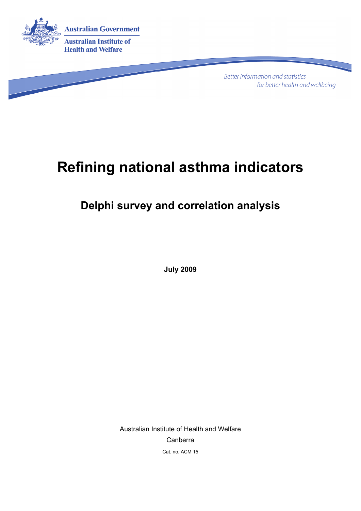

**Better information and statistics** for better health and wellbeing

# **Refining national asthma indicators**

## **Delphi survey and correlation analysis**

**July 2009** 

Australian Institute of Health and Welfare Canberra Cat. no. ACM 15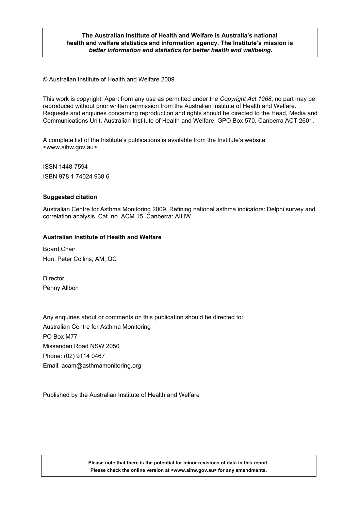#### **The Australian Institute of Health and Welfare is Australia's national health and welfare statistics and information agency. The Institute's mission is**  *better information and statistics for better health and wellbeing***.**

© Australian Institute of Health and Welfare 2009

This work is copyright. Apart from any use as permitted under the *Copyright Act 1968*, no part may be reproduced without prior written permission from the Australian Institute of Health and Welfare. Requests and enquiries concerning reproduction and rights should be directed to the Head, Media and Communications Unit, Australian Institute of Health and Welfare, GPO Box 570, Canberra ACT 2601.

A complete list of the Institute's publications is available from the Institute's website <www.aihw.gov.au>.

ISSN 1448-7594 ISBN 978 1 74024 938 6

#### **Suggested citation**

Australian Centre for Asthma Monitoring 2009. Refining national asthma indicators: Delphi survey and correlation analysis. Cat. no. ACM 15. Canberra: AIHW.

#### **Australian Institute of Health and Welfare**

Board Chair Hon. Peter Collins, AM, QC

Director Penny Allbon

Any enquiries about or comments on this publication should be directed to: Australian Centre for Asthma Monitoring PO Box M77 Missenden Road NSW 2050 Phone: (02) 9114 0467 Email: acam@asthmamonitoring.org

Published by the Australian Institute of Health and Welfare

**Please note that there is the potential for minor revisions of data in this report. Please check the online version at <www.aihw.gov.au> for any amendments.**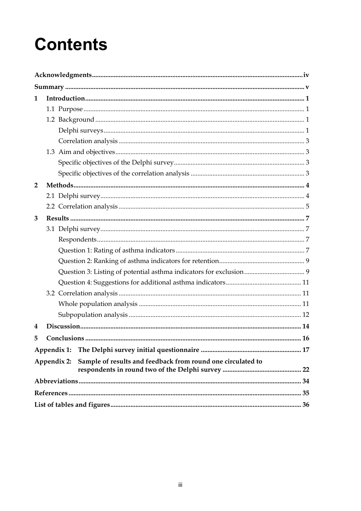# **Contents**

| 1              |                                                                            |
|----------------|----------------------------------------------------------------------------|
|                |                                                                            |
|                |                                                                            |
|                |                                                                            |
|                |                                                                            |
|                |                                                                            |
|                |                                                                            |
|                |                                                                            |
| $\overline{2}$ |                                                                            |
|                |                                                                            |
|                |                                                                            |
| 3              |                                                                            |
|                |                                                                            |
|                |                                                                            |
|                |                                                                            |
|                |                                                                            |
|                |                                                                            |
|                |                                                                            |
|                |                                                                            |
|                |                                                                            |
|                |                                                                            |
| 4              |                                                                            |
| 5              |                                                                            |
|                | Appendix 1:                                                                |
|                | Sample of results and feedback from round one circulated to<br>Appendix 2: |
|                |                                                                            |
|                |                                                                            |
|                |                                                                            |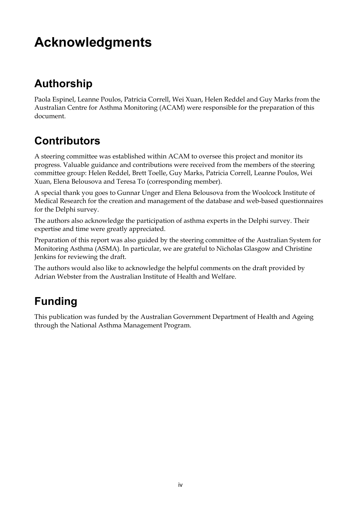# **Acknowledgments**

## **Authorship**

Paola Espinel, Leanne Poulos, Patricia Correll, Wei Xuan, Helen Reddel and Guy Marks from the Australian Centre for Asthma Monitoring (ACAM) were responsible for the preparation of this document.

## **Contributors**

A steering committee was established within ACAM to oversee this project and monitor its progress. Valuable guidance and contributions were received from the members of the steering committee group: Helen Reddel, Brett Toelle, Guy Marks, Patricia Correll, Leanne Poulos, Wei Xuan, Elena Belousova and Teresa To (corresponding member).

A special thank you goes to Gunnar Unger and Elena Belousova from the Woolcock Institute of Medical Research for the creation and management of the database and web-based questionnaires for the Delphi survey.

The authors also acknowledge the participation of asthma experts in the Delphi survey. Their expertise and time were greatly appreciated.

Preparation of this report was also guided by the steering committee of the Australian System for Monitoring Asthma (ASMA). In particular, we are grateful to Nicholas Glasgow and Christine Jenkins for reviewing the draft.

The authors would also like to acknowledge the helpful comments on the draft provided by Adrian Webster from the Australian Institute of Health and Welfare.

## **Funding**

This publication was funded by the Australian Government Department of Health and Ageing through the National Asthma Management Program.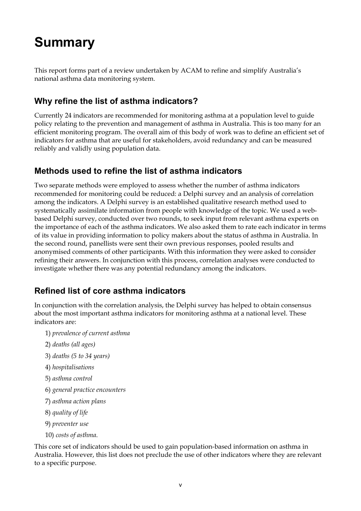# **Summary**

This report forms part of a review undertaken by ACAM to refine and simplify Australia's national asthma data monitoring system.

### **Why refine the list of asthma indicators?**

Currently 24 indicators are recommended for monitoring asthma at a population level to guide policy relating to the prevention and management of asthma in Australia. This is too many for an efficient monitoring program. The overall aim of this body of work was to define an efficient set of indicators for asthma that are useful for stakeholders, avoid redundancy and can be measured reliably and validly using population data.

### **Methods used to refine the list of asthma indicators**

Two separate methods were employed to assess whether the number of asthma indicators recommended for monitoring could be reduced: a Delphi survey and an analysis of correlation among the indicators. A Delphi survey is an established qualitative research method used to systematically assimilate information from people with knowledge of the topic. We used a webbased Delphi survey, conducted over two rounds, to seek input from relevant asthma experts on the importance of each of the asthma indicators. We also asked them to rate each indicator in terms of its value in providing information to policy makers about the status of asthma in Australia. In the second round, panellists were sent their own previous responses, pooled results and anonymised comments of other participants. With this information they were asked to consider refining their answers. In conjunction with this process, correlation analyses were conducted to investigate whether there was any potential redundancy among the indicators.

### **Refined list of core asthma indicators**

In conjunction with the correlation analysis, the Delphi survey has helped to obtain consensus about the most important asthma indicators for monitoring asthma at a national level. These indicators are:

- 1) *prevalence of current asthma*
- 2) *deaths (all ages)*
- 3) *deaths (5 to 34 years)*
- 4) *hospitalisations*
- 5) *asthma control*
- 6) *general practice encounters*
- 7) *asthma action plans*
- 8) *quality of life*
- 9) *preventer use*
- 10) *costs of asthma*.

This core set of indicators should be used to gain population-based information on asthma in Australia. However, this list does not preclude the use of other indicators where they are relevant to a specific purpose.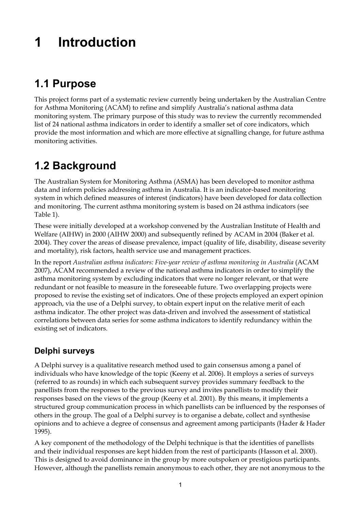# **1 Introduction**

## **1.1 Purpose**

This project forms part of a systematic review currently being undertaken by the Australian Centre for Asthma Monitoring (ACAM) to refine and simplify Australia's national asthma data monitoring system. The primary purpose of this study was to review the currently recommended list of 24 national asthma indicators in order to identify a smaller set of core indicators, which provide the most information and which are more effective at signalling change, for future asthma monitoring activities.

## **1.2 Background**

The Australian System for Monitoring Asthma (ASMA) has been developed to monitor asthma data and inform policies addressing asthma in Australia. It is an indicator-based monitoring system in which defined measures of interest (indicators) have been developed for data collection and monitoring. The current asthma monitoring system is based on 24 asthma indicators (see Table 1).

These were initially developed at a workshop convened by the Australian Institute of Health and Welfare (AIHW) in 2000 (AIHW 2000) and subsequently refined by ACAM in 2004 (Baker et al. 2004). They cover the areas of disease prevalence, impact (quality of life, disability, disease severity and mortality), risk factors, health service use and management practices.

In the report *Australian asthma indicators: Five-year review of asthma monitoring in Australia* (ACAM 2007), ACAM recommended a review of the national asthma indicators in order to simplify the asthma monitoring system by excluding indicators that were no longer relevant, or that were redundant or not feasible to measure in the foreseeable future. Two overlapping projects were proposed to revise the existing set of indicators. One of these projects employed an expert opinion approach, via the use of a Delphi survey, to obtain expert input on the relative merit of each asthma indicator. The other project was data-driven and involved the assessment of statistical correlations between data series for some asthma indicators to identify redundancy within the existing set of indicators.

### **Delphi surveys**

A Delphi survey is a qualitative research method used to gain consensus among a panel of individuals who have knowledge of the topic (Keeny et al. 2006). It employs a series of surveys (referred to as rounds) in which each subsequent survey provides summary feedback to the panellists from the responses to the previous survey and invites panellists to modify their responses based on the views of the group (Keeny et al. 2001). By this means, it implements a structured group communication process in which panellists can be influenced by the responses of others in the group. The goal of a Delphi survey is to organise a debate, collect and synthesise opinions and to achieve a degree of consensus and agreement among participants (Hader & Hader 1995).

A key component of the methodology of the Delphi technique is that the identities of panellists and their individual responses are kept hidden from the rest of participants (Hasson et al. 2000). This is designed to avoid dominance in the group by more outspoken or prestigious participants. However, although the panellists remain anonymous to each other, they are not anonymous to the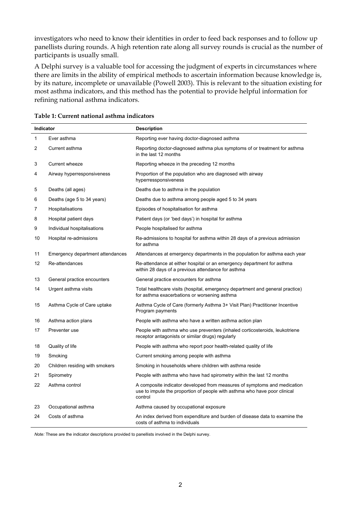investigators who need to know their identities in order to feed back responses and to follow up panellists during rounds. A high retention rate along all survey rounds is crucial as the number of participants is usually small.

A Delphi survey is a valuable tool for accessing the judgment of experts in circumstances where there are limits in the ability of empirical methods to ascertain information because knowledge is, by its nature, incomplete or unavailable (Powell 2003). This is relevant to the situation existing for most asthma indicators, and this method has the potential to provide helpful information for refining national asthma indicators.

| Indicator |                                  | <b>Description</b>                                                                                                                                               |  |  |  |  |
|-----------|----------------------------------|------------------------------------------------------------------------------------------------------------------------------------------------------------------|--|--|--|--|
| 1         | Ever asthma                      | Reporting ever having doctor-diagnosed asthma                                                                                                                    |  |  |  |  |
| 2         | Current asthma                   | Reporting doctor-diagnosed asthma plus symptoms of or treatment for asthma<br>in the last 12 months                                                              |  |  |  |  |
| 3         | Current wheeze                   | Reporting wheeze in the preceding 12 months                                                                                                                      |  |  |  |  |
| 4         | Airway hyperresponsiveness       | Proportion of the population who are diagnosed with airway<br>hyperressponsiveness                                                                               |  |  |  |  |
| 5         | Deaths (all ages)                | Deaths due to asthma in the population                                                                                                                           |  |  |  |  |
| 6         | Deaths (age 5 to 34 years)       | Deaths due to asthma among people aged 5 to 34 years                                                                                                             |  |  |  |  |
| 7         | Hospitalisations                 | Episodes of hospitalisation for asthma                                                                                                                           |  |  |  |  |
| 8         | Hospital patient days            | Patient days (or 'bed days') in hospital for asthma                                                                                                              |  |  |  |  |
| 9         | Individual hospitalisations      | People hospitalised for asthma                                                                                                                                   |  |  |  |  |
| 10        | Hospital re-admissions           | Re-admissions to hospital for asthma within 28 days of a previous admission<br>for asthma                                                                        |  |  |  |  |
| 11        | Emergency department attendances | Attendances at emergency departments in the population for asthma each year                                                                                      |  |  |  |  |
| 12        | Re-attendances                   | Re-attendance at either hospital or an emergency department for asthma<br>within 28 days of a previous attendance for asthma                                     |  |  |  |  |
| 13        | General practice encounters      | General practice encounters for asthma                                                                                                                           |  |  |  |  |
| 14        | Urgent asthma visits             | Total healthcare visits (hospital, emergency department and general practice)<br>for asthma exacerbations or worsening asthma                                    |  |  |  |  |
| 15        | Asthma Cycle of Care uptake      | Asthma Cycle of Care (formerly Asthma 3+ Visit Plan) Practitioner Incentive<br>Program payments                                                                  |  |  |  |  |
| 16        | Asthma action plans              | People with asthma who have a written asthma action plan                                                                                                         |  |  |  |  |
| 17        | Preventer use                    | People with asthma who use preventers (inhaled corticosteroids, leukotriene<br>receptor antagonists or similar drugs) regularly                                  |  |  |  |  |
| 18        | Quality of life                  | People with asthma who report poor health-related quality of life                                                                                                |  |  |  |  |
| 19        | Smoking                          | Current smoking among people with asthma                                                                                                                         |  |  |  |  |
| 20        | Children residing with smokers   | Smoking in households where children with asthma reside                                                                                                          |  |  |  |  |
| 21        | Spirometry                       | People with asthma who have had spirometry within the last 12 months                                                                                             |  |  |  |  |
| 22        | Asthma control                   | A composite indicator developed from measures of symptoms and medication<br>use to impute the proportion of people with asthma who have poor clinical<br>control |  |  |  |  |
| 23        | Occupational asthma              | Asthma caused by occupational exposure                                                                                                                           |  |  |  |  |
| 24        | Costs of asthma                  | An index derived from expenditure and burden of disease data to examine the<br>costs of asthma to individuals                                                    |  |  |  |  |

*Note:* These are the indicator descriptions provided to panellists involved in the Delphi survey.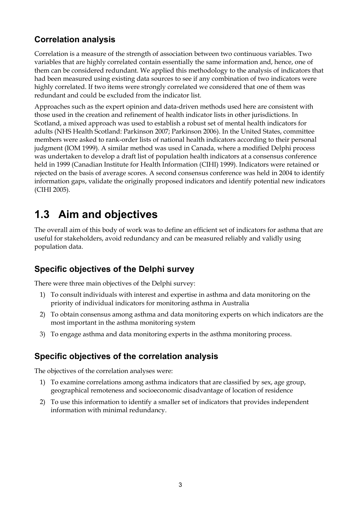### **Correlation analysis**

Correlation is a measure of the strength of association between two continuous variables. Two variables that are highly correlated contain essentially the same information and, hence, one of them can be considered redundant. We applied this methodology to the analysis of indicators that had been measured using existing data sources to see if any combination of two indicators were highly correlated. If two items were strongly correlated we considered that one of them was redundant and could be excluded from the indicator list.

Approaches such as the expert opinion and data-driven methods used here are consistent with those used in the creation and refinement of health indicator lists in other jurisdictions. In Scotland, a mixed approach was used to establish a robust set of mental health indicators for adults (NHS Health Scotland: Parkinson 2007; Parkinson 2006). In the United States, committee members were asked to rank-order lists of national health indicators according to their personal judgment (IOM 1999). A similar method was used in Canada, where a modified Delphi process was undertaken to develop a draft list of population health indicators at a consensus conference held in 1999 (Canadian Institute for Health Information (CIHI) 1999). Indicators were retained or rejected on the basis of average scores. A second consensus conference was held in 2004 to identify information gaps, validate the originally proposed indicators and identify potential new indicators (CIHI 2005).

## **1.3 Aim and objectives**

The overall aim of this body of work was to define an efficient set of indicators for asthma that are useful for stakeholders, avoid redundancy and can be measured reliably and validly using population data.

### **Specific objectives of the Delphi survey**

There were three main objectives of the Delphi survey:

- 1) To consult individuals with interest and expertise in asthma and data monitoring on the priority of individual indicators for monitoring asthma in Australia
- 2) To obtain consensus among asthma and data monitoring experts on which indicators are the most important in the asthma monitoring system
- 3) To engage asthma and data monitoring experts in the asthma monitoring process.

### **Specific objectives of the correlation analysis**

The objectives of the correlation analyses were:

- 1) To examine correlations among asthma indicators that are classified by sex, age group, geographical remoteness and socioeconomic disadvantage of location of residence
- 2) To use this information to identify a smaller set of indicators that provides independent information with minimal redundancy.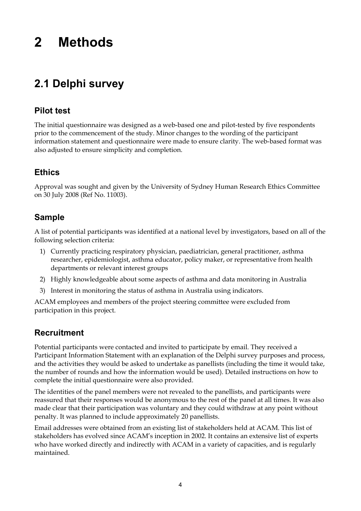# **2 Methods**

## **2.1 Delphi survey**

### **Pilot test**

The initial questionnaire was designed as a web-based one and pilot-tested by five respondents prior to the commencement of the study. Minor changes to the wording of the participant information statement and questionnaire were made to ensure clarity. The web-based format was also adjusted to ensure simplicity and completion.

### **Ethics**

Approval was sought and given by the University of Sydney Human Research Ethics Committee on 30 July 2008 (Ref No. 11003).

### **Sample**

A list of potential participants was identified at a national level by investigators, based on all of the following selection criteria:

- 1) Currently practicing respiratory physician, paediatrician, general practitioner, asthma researcher, epidemiologist, asthma educator, policy maker, or representative from health departments or relevant interest groups
- 2) Highly knowledgeable about some aspects of asthma and data monitoring in Australia
- 3) Interest in monitoring the status of asthma in Australia using indicators.

ACAM employees and members of the project steering committee were excluded from participation in this project.

### **Recruitment**

Potential participants were contacted and invited to participate by email. They received a Participant Information Statement with an explanation of the Delphi survey purposes and process, and the activities they would be asked to undertake as panellists (including the time it would take, the number of rounds and how the information would be used). Detailed instructions on how to complete the initial questionnaire were also provided.

The identities of the panel members were not revealed to the panellists, and participants were reassured that their responses would be anonymous to the rest of the panel at all times. It was also made clear that their participation was voluntary and they could withdraw at any point without penalty. It was planned to include approximately 20 panellists.

Email addresses were obtained from an existing list of stakeholders held at ACAM. This list of stakeholders has evolved since ACAM's inception in 2002. It contains an extensive list of experts who have worked directly and indirectly with ACAM in a variety of capacities, and is regularly maintained.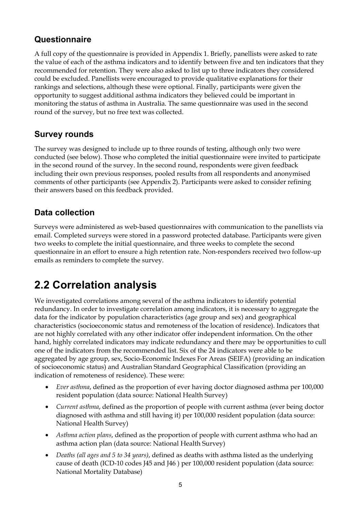### **Questionnaire**

A full copy of the questionnaire is provided in Appendix 1. Briefly, panellists were asked to rate the value of each of the asthma indicators and to identify between five and ten indicators that they recommended for retention. They were also asked to list up to three indicators they considered could be excluded. Panellists were encouraged to provide qualitative explanations for their rankings and selections, although these were optional. Finally, participants were given the opportunity to suggest additional asthma indicators they believed could be important in monitoring the status of asthma in Australia. The same questionnaire was used in the second round of the survey, but no free text was collected.

### **Survey rounds**

The survey was designed to include up to three rounds of testing, although only two were conducted (see below). Those who completed the initial questionnaire were invited to participate in the second round of the survey. In the second round, respondents were given feedback including their own previous responses, pooled results from all respondents and anonymised comments of other participants (see Appendix 2). Participants were asked to consider refining their answers based on this feedback provided.

### **Data collection**

Surveys were administered as web-based questionnaires with communication to the panellists via email. Completed surveys were stored in a password protected database. Participants were given two weeks to complete the initial questionnaire, and three weeks to complete the second questionnaire in an effort to ensure a high retention rate. Non-responders received two follow-up emails as reminders to complete the survey.

## **2.2 Correlation analysis**

We investigated correlations among several of the asthma indicators to identify potential redundancy. In order to investigate correlation among indicators, it is necessary to aggregate the data for the indicator by population characteristics (age group and sex) and geographical characteristics (socioeconomic status and remoteness of the location of residence). Indicators that are not highly correlated with any other indicator offer independent information. On the other hand, highly correlated indicators may indicate redundancy and there may be opportunities to cull one of the indicators from the recommended list. Six of the 24 indicators were able to be aggregated by age group, sex, Socio-Economic Indexes For Areas (SEIFA) (providing an indication of socioeconomic status) and Australian Standard Geographical Classification (providing an indication of remoteness of residence). These were:

- *Ever asthma*, defined as the proportion of ever having doctor diagnosed asthma per 100,000 resident population (data source: National Health Survey)
- *Current asthma*, defined as the proportion of people with current asthma (ever being doctor diagnosed with asthma and still having it) per 100,000 resident population (data source: National Health Survey)
- *Asthma action plans*, defined as the proportion of people with current asthma who had an asthma action plan (data source: National Health Survey)
- *Deaths (all ages and 5 to 34 years)*, defined as deaths with asthma listed as the underlying cause of death (ICD-10 codes J45 and J46 ) per 100,000 resident population (data source: National Mortality Database)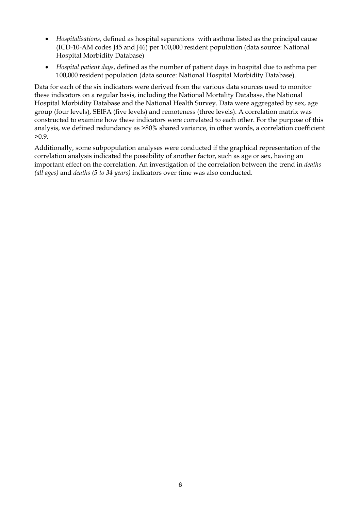- *Hospitalisations*, defined as hospital separations with asthma listed as the principal cause (ICD-10-AM codes J45 and J46) per 100,000 resident population (data source: National Hospital Morbidity Database)
- *Hospital patient days*, defined as the number of patient days in hospital due to asthma per 100,000 resident population (data source: National Hospital Morbidity Database).

Data for each of the six indicators were derived from the various data sources used to monitor these indicators on a regular basis, including the National Mortality Database, the National Hospital Morbidity Database and the National Health Survey. Data were aggregated by sex, age group (four levels), SEIFA (five levels) and remoteness (three levels). A correlation matrix was constructed to examine how these indicators were correlated to each other. For the purpose of this analysis, we defined redundancy as >80% shared variance, in other words, a correlation coefficient  $>0.9$ .

Additionally, some subpopulation analyses were conducted if the graphical representation of the correlation analysis indicated the possibility of another factor, such as age or sex, having an important effect on the correlation. An investigation of the correlation between the trend in *deaths (all ages)* and *deaths (5 to 34 years)* indicators over time was also conducted.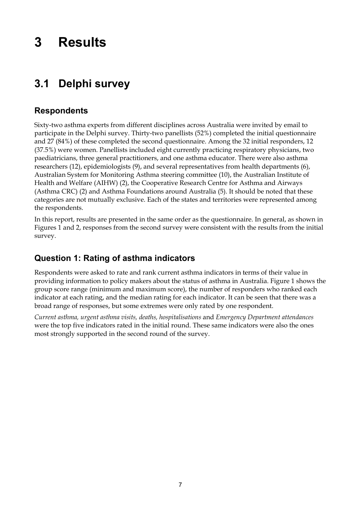# **3 Results**

## **3.1 Delphi survey**

### **Respondents**

Sixty-two asthma experts from different disciplines across Australia were invited by email to participate in the Delphi survey. Thirty-two panellists (52%) completed the initial questionnaire and 27 (84%) of these completed the second questionnaire. Among the 32 initial responders, 12 (37.5%) were women. Panellists included eight currently practicing respiratory physicians, two paediatricians, three general practitioners, and one asthma educator. There were also asthma researchers (12), epidemiologists (9), and several representatives from health departments (6), Australian System for Monitoring Asthma steering committee (10), the Australian Institute of Health and Welfare (AIHW) (2), the Cooperative Research Centre for Asthma and Airways (Asthma CRC) (2) and Asthma Foundations around Australia (5). It should be noted that these categories are not mutually exclusive. Each of the states and territories were represented among the respondents.

In this report, results are presented in the same order as the questionnaire. In general, as shown in Figures 1 and 2, responses from the second survey were consistent with the results from the initial survey.

### **Question 1: Rating of asthma indicators**

Respondents were asked to rate and rank current asthma indicators in terms of their value in providing information to policy makers about the status of asthma in Australia. Figure 1 shows the group score range (minimum and maximum score), the number of responders who ranked each indicator at each rating, and the median rating for each indicator. It can be seen that there was a broad range of responses, but some extremes were only rated by one respondent.

*Current asthma, urgent asthma visits, deaths, hospitalisations* and *Emergency Department attendances* were the top five indicators rated in the initial round. These same indicators were also the ones most strongly supported in the second round of the survey.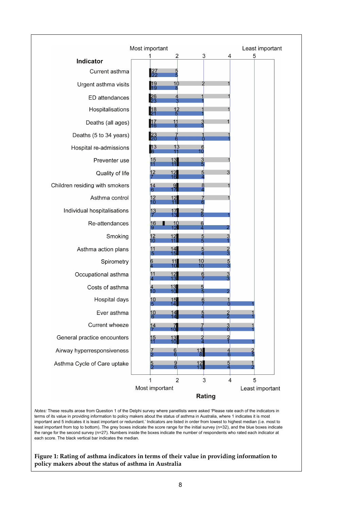

*Notes:* These results arose from Question 1 of the Delphi survey where panellists were asked 'Please rate each of the indicators in terms of its value in providing information to policy makers about the status of asthma in Australia, where 1 indicates it is most important and 5 indicates it is least important or redundant.' Indicators are listed in order from lowest to highest median (i.e. most to least important from top to bottom). The grey boxes indicate the score range for the initial survey (n=32), and the blue boxes indicate the range for the second survey (n=27). Numbers inside the boxes indicate the number of respondents who rated each indicator at each score. The black vertical bar indicates the median.

#### **Figure 1: Rating of asthma indicators in terms of their value in providing information to policy makers about the status of asthma in Australia**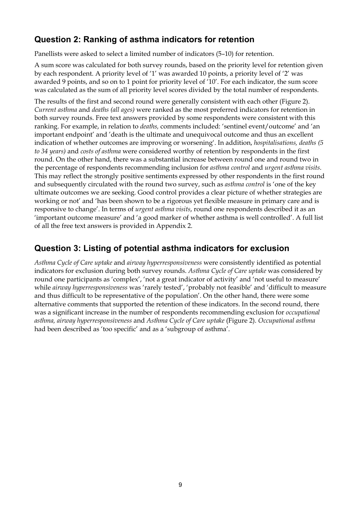### **Question 2: Ranking of asthma indicators for retention**

Panellists were asked to select a limited number of indicators (5–10) for retention.

A sum score was calculated for both survey rounds, based on the priority level for retention given by each respondent. A priority level of '1' was awarded 10 points, a priority level of '2' was awarded 9 points, and so on to 1 point for priority level of '10'. For each indicator, the sum score was calculated as the sum of all priority level scores divided by the total number of respondents.

The results of the first and second round were generally consistent with each other (Figure 2). *Current asthma* and *deaths (all ages)* were ranked as the most preferred indicators for retention in both survey rounds. Free text answers provided by some respondents were consistent with this ranking. For example, in relation to *deaths,* comments included: 'sentinel event/outcome' and 'an important endpoint' and 'death is the ultimate and unequivocal outcome and thus an excellent indication of whether outcomes are improving or worsening'. In addition, *hospitalisations, deaths (5 to 34 years)* and *costs of asthma* were considered worthy of retention by respondents in the first round. On the other hand, there was a substantial increase between round one and round two in the percentage of respondents recommending inclusion for *asthma control* and *urgent asthma visits*. This may reflect the strongly positive sentiments expressed by other respondents in the first round and subsequently circulated with the round two survey, such as *asthma control* is 'one of the key ultimate outcomes we are seeking. Good control provides a clear picture of whether strategies are working or not' and 'has been shown to be a rigorous yet flexible measure in primary care and is responsive to change'. In terms of *urgent asthma visits*, round one respondents described it as an 'important outcome measure' and 'a good marker of whether asthma is well controlled'. A full list of all the free text answers is provided in Appendix 2.

### **Question 3: Listing of potential asthma indicators for exclusion**

*Asthma Cycle of Care uptake* and *airway hyperresponsiveness* were consistently identified as potential indicators for exclusion during both survey rounds. *Asthma Cycle of Care uptake* was considered by round one participants as 'complex', 'not a great indicator of activity' and 'not useful to measure' while *airway hyperresponsiveness* was 'rarely tested', 'probably not feasible' and 'difficult to measure and thus difficult to be representative of the population'. On the other hand, there were some alternative comments that supported the retention of these indicators. In the second round, there was a significant increase in the number of respondents recommending exclusion for *occupational asthma, airway hyperresponsiveness* and *Asthma Cycle of Care uptake* (Figure 2). *Occupational asthma* had been described as 'too specific' and as a 'subgroup of asthma'.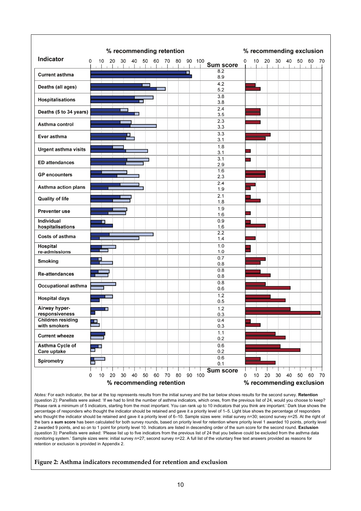

*Notes:* For each indicator, the bar at the top represents results from the initial survey and the bar below shows results for the second survey. **Retention** (question 2): Panellists were asked: 'If we had to limit the number of asthma indicators, which ones, from the previous list of 24, would you choose to keep? Please rank a minimum of 5 indicators, starting from the most important. You can rank up to 10 indicators that you think are important.' Dark blue shows the percentage of responders who thought the indicator should be retained and gave it a priority level of 1–5. Light blue shows the percentage of responders who thought the indicator should be retained and gave it a priority level of 6–10. Sample sizes were: initial survey n=30; second survey n=25. At the right of the bars a **sum score** has been calculated for both survey rounds, based on priority level for retention where priority level 1 awarded 10 points, priority level 2 awarded 9 points, and so on to 1 point for priority level 10. Indicators are listed in descending order of the sum score for the second round. **Exclusion** (question 3): Panellists were asked: 'Please list up to five indicators from the previous list of 24 that you believe could be excluded from the asthma data monitoring system.' Sample sizes were: initial survey n=27; second survey n=22. A full list of the voluntary free text answers provided as reasons for retention or exclusion is provided in Appendix 2.

#### **Figure 2: Asthma indicators recommended for retention and exclusion**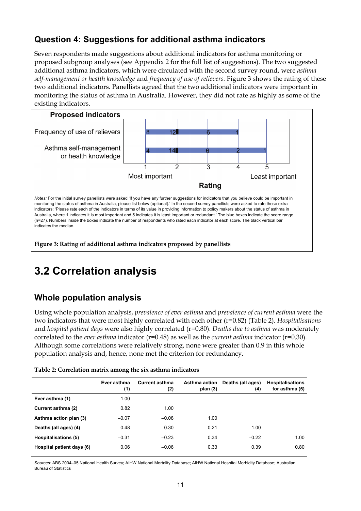### **Question 4: Suggestions for additional asthma indicators**

Seven respondents made suggestions about additional indicators for asthma monitoring or proposed subgroup analyses (see Appendix 2 for the full list of suggestions). The two suggested additional asthma indicators, which were circulated with the second survey round, were *asthma self-management or health knowledge* and *frequency of use of relievers.* Figure 3 shows the rating of these two additional indicators. Panellists agreed that the two additional indicators were important in monitoring the status of asthma in Australia. However, they did not rate as highly as some of the existing indicators.



## **3.2 Correlation analysis**

### **Whole population analysis**

Using whole population analysis, *prevalence of ever asthma* and *prevalence of current asthma* were the two indicators that were most highly correlated with each other (r=0.82) (Table 2). *Hospitalisations* and *hospital patient days* were also highly correlated (r=0.80). *Deaths due to asthma* was moderately correlated to the *ever asthma* indicator (r=0.48) as well as the *current asthma* indicator (r=0.30). Although some correlations were relatively strong, none were greater than 0.9 in this whole population analysis and, hence, none met the criterion for redundancy.

|                             | Ever asthma<br>(1) | <b>Current asthma</b><br>(2) | Asthma action<br>plan $(3)$ | Deaths (all ages)<br>(4) | <b>Hospitalisations</b><br>for asthma (5) |
|-----------------------------|--------------------|------------------------------|-----------------------------|--------------------------|-------------------------------------------|
| Ever asthma (1)             | 1.00               |                              |                             |                          |                                           |
| Current asthma (2)          | 0.82               | 1.00                         |                             |                          |                                           |
| Asthma action plan (3)      | $-0.07$            | $-0.08$                      | 1.00                        |                          |                                           |
| Deaths (all ages) (4)       | 0.48               | 0.30                         | 0.21                        | 1.00                     |                                           |
| <b>Hospitalisations (5)</b> | $-0.31$            | $-0.23$                      | 0.34                        | $-0.22$                  | 1.00                                      |
| Hospital patient days (6)   | 0.06               | $-0.06$                      | 0.33                        | 0.39                     | 0.80                                      |
|                             |                    |                              |                             |                          |                                           |

**Table 2: Correlation matrix among the six asthma indicators** 

*Sources:* ABS 2004–05 National Health Survey; AIHW National Mortality Database; AIHW National Hospital Morbidity Database; Australian Bureau of Statistics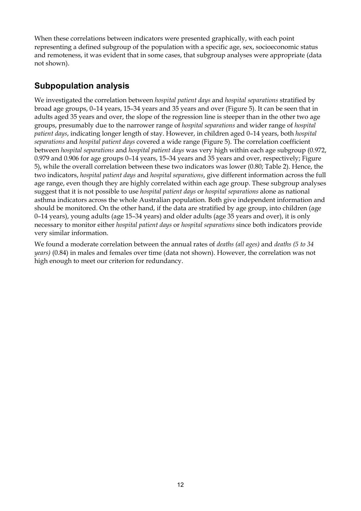When these correlations between indicators were presented graphically, with each point representing a defined subgroup of the population with a specific age, sex, socioeconomic status and remoteness, it was evident that in some cases, that subgroup analyses were appropriate (data not shown).

### **Subpopulation analysis**

We investigated the correlation between *hospital patient days* and *hospital separations* stratified by broad age groups, 0–14 years, 15–34 years and 35 years and over (Figure 5). It can be seen that in adults aged 35 years and over, the slope of the regression line is steeper than in the other two age groups, presumably due to the narrower range of *hospital separations* and wider range of *hospital patient days*, indicating longer length of stay. However, in children aged 0–14 years, both *hospital separations* and *hospital patient days* covered a wide range (Figure 5). The correlation coefficient between *hospital separations* and *hospital patient days* was very high within each age subgroup (0.972, 0.979 and 0.906 for age groups 0–14 years, 15–34 years and 35 years and over, respectively; Figure 5), while the overall correlation between these two indicators was lower (0.80; Table 2). Hence, the two indicators, *hospital patient days* and *hospital separations*, give different information across the full age range, even though they are highly correlated within each age group. These subgroup analyses suggest that it is not possible to use *hospital patient days* or *hospital separations* alone as national asthma indicators across the whole Australian population. Both give independent information and should be monitored. On the other hand, if the data are stratified by age group, into children (age 0–14 years), young adults (age 15–34 years) and older adults (age 35 years and over), it is only necessary to monitor either *hospital patient days* or *hospital separations* since both indicators provide very similar information.

We found a moderate correlation between the annual rates of *deaths (all ages)* and *deaths (5 to 34 years)* (0.84) in males and females over time (data not shown). However, the correlation was not high enough to meet our criterion for redundancy.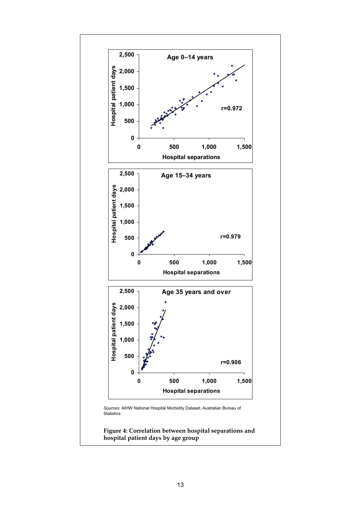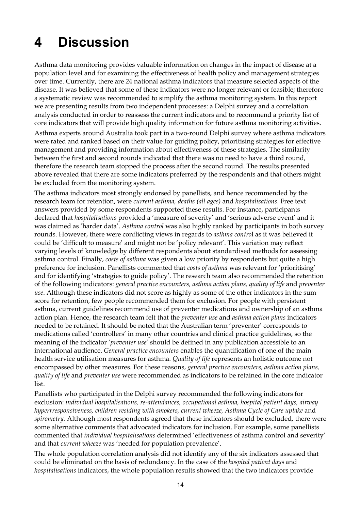# **4 Discussion**

Asthma data monitoring provides valuable information on changes in the impact of disease at a population level and for examining the effectiveness of health policy and management strategies over time. Currently, there are 24 national asthma indicators that measure selected aspects of the disease. It was believed that some of these indicators were no longer relevant or feasible; therefore a systematic review was recommended to simplify the asthma monitoring system. In this report we are presenting results from two independent processes: a Delphi survey and a correlation analysis conducted in order to reassess the current indicators and to recommend a priority list of core indicators that will provide high quality information for future asthma monitoring activities.

Asthma experts around Australia took part in a two-round Delphi survey where asthma indicators were rated and ranked based on their value for guiding policy, prioritising strategies for effective management and providing information about effectiveness of these strategies. The similarity between the first and second rounds indicated that there was no need to have a third round, therefore the research team stopped the process after the second round. The results presented above revealed that there are some indicators preferred by the respondents and that others might be excluded from the monitoring system.

The asthma indicators most strongly endorsed by panellists, and hence recommended by the research team for retention, were *current asthma, deaths (all ages)* and *hospitalisations*. Free text answers provided by some respondents supported these results. For instance, participants declared that *hospitalisations* provided a 'measure of severity' and 'serious adverse event' and it was claimed as 'harder data'. *Asthma control* was also highly ranked by participants in both survey rounds. However, there were conflicting views in regards to *asthma contro*l as it was believed it could be 'difficult to measure' and might not be 'policy relevant'. This variation may reflect varying levels of knowledge by different respondents about standardised methods for assessing asthma control. Finally, *costs of asthma* was given a low priority by respondents but quite a high preference for inclusion. Panellists commented that *costs of asthma* was relevant for 'prioritising' and for identifying 'strategies to guide policy'. The research team also recommended the retention of the following indicators: *general practice encounters, asthma action plans, quality of life* and *preventer use*. Although these indicators did not score as highly as some of the other indicators in the sum score for retention, few people recommended them for exclusion. For people with persistent asthma, current guidelines recommend use of preventer medications and ownership of an asthma action plan. Hence, the research team felt that the *preventer use* and *asthma action plans* indicators needed to be retained. It should be noted that the Australian term 'preventer' corresponds to medications called 'controllers' in many other countries and clinical practice guidelines, so the meaning of the indicator '*preventer use*' should be defined in any publication accessible to an international audience. *General practice encounters* enables the quantification of one of the main health service utilisation measures for asthma. *Quality of life* represents an holistic outcome not encompassed by other measures. For these reasons, *general practice encounters, asthma action plans, quality of life* and *preventer use* were recommended as indicators to be retained in the core indicator list.

Panellists who participated in the Delphi survey recommended the following indicators for exclusion: *individual hospitalisations, re-attendances, occupational asthma, hospital patient days, airway hyperrresponsiveness, children residing with smokers, current wheeze, Asthma Cycle of Care uptake and spirometry.* Although most respondents agreed that these indicators should be excluded, there were some alternative comments that advocated indicators for inclusion. For example, some panellists commented that *individual hospitalisations* determined 'effectiveness of asthma control and severity' and that *current wheeze* was 'needed for population prevalence'.

The whole population correlation analysis did not identify any of the six indicators assessed that could be eliminated on the basis of redundancy. In the case of the *hospital patient days* and *hospitalisations* indicators, the whole population results showed that the two indicators provide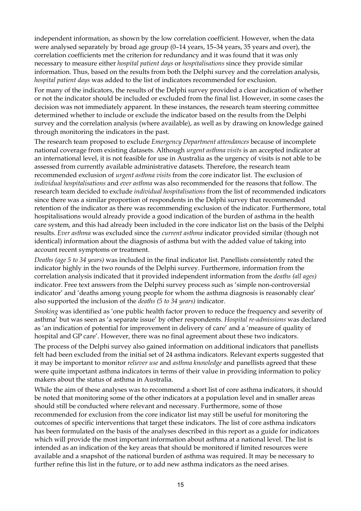independent information, as shown by the low correlation coefficient. However, when the data were analysed separately by broad age group (0–14 years, 15–34 years, 35 years and over), the correlation coefficients met the criterion for redundancy and it was found that it was only necessary to measure either *hospital patient days* or *hospitalisations* since they provide similar information. Thus, based on the results from both the Delphi survey and the correlation analysis, *hospital patient days* was added to the list of indicators recommended for exclusion.

For many of the indicators, the results of the Delphi survey provided a clear indication of whether or not the indicator should be included or excluded from the final list. However, in some cases the decision was not immediately apparent. In these instances, the research team steering committee determined whether to include or exclude the indicator based on the results from the Delphi survey and the correlation analysis (where available), as well as by drawing on knowledge gained through monitoring the indicators in the past.

The research team proposed to exclude *Emergency Department attendances* because of incomplete national coverage from existing datasets. Although *urgent asthma visits* is an accepted indicator at an international level, it is not feasible for use in Australia as the urgency of visits is not able to be assessed from currently available administrative datasets. Therefore, the research team recommended exclusion of *urgent asthma visits* from the core indicator list. The exclusion of *individual hospitalisations* and *ever asthma* was also recommended for the reasons that follow*.* The research team decided to exclude *individual hospitalisations* from the list of recommended indicators since there was a similar proportion of respondents in the Delphi survey that recommended retention of the indicator as there was recommending exclusion of the indicator. Furthermore, total hospitalisations would already provide a good indication of the burden of asthma in the health care system, and this had already been included in the core indicator list on the basis of the Delphi results. *Ever asthma* was excluded since the *current asthma* indicator provided similar (though not identical) information about the diagnosis of asthma but with the added value of taking into account recent symptoms or treatment.

*Deaths (age 5 to 34 years)* was included in the final indicator list. Panellists consistently rated the indicator highly in the two rounds of the Delphi survey. Furthermore, information from the correlation analysis indicated that it provided independent information from the *deaths (all ages)* indicator. Free text answers from the Delphi survey process such as 'simple non-controversial indicator' and 'deaths among young people for whom the asthma diagnosis is reasonably clear' also supported the inclusion of the *deaths (5 to 34 years)* indicator.

*Smoking* was identified as 'one public health factor proven to reduce the frequency and severity of asthma' but was seen as 'a separate issue' by other respondents. *Hospital re-admissions* was declared as 'an indication of potential for improvement in delivery of care' and a 'measure of quality of hospital and GP care'. However, there was no final agreement about these two indicators.

The process of the Delphi survey also gained information on additional indicators that panellists felt had been excluded from the initial set of 24 asthma indicators. Relevant experts suggested that it may be important to monitor *reliever use* and *asthma knowledge* and panellists agreed that these were quite important asthma indicators in terms of their value in providing information to policy makers about the status of asthma in Australia.

While the aim of these analyses was to recommend a short list of core asthma indicators, it should be noted that monitoring some of the other indicators at a population level and in smaller areas should still be conducted where relevant and necessary. Furthermore, some of those recommended for exclusion from the core indicator list may still be useful for monitoring the outcomes of specific interventions that target these indicators. The list of core asthma indicators has been formulated on the basis of the analyses described in this report as a guide for indicators which will provide the most important information about asthma at a national level. The list is intended as an indication of the key areas that should be monitored if limited resources were available and a snapshot of the national burden of asthma was required. It may be necessary to further refine this list in the future, or to add new asthma indicators as the need arises.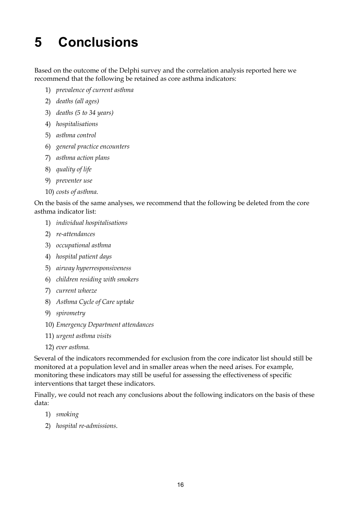# **5 Conclusions**

Based on the outcome of the Delphi survey and the correlation analysis reported here we recommend that the following be retained as core asthma indicators:

- 1) *prevalence of current asthma*
- 2) *deaths (all ages)*
- 3) *deaths (5 to 34 years)*
- 4) *hospitalisations*
- 5) *asthma control*
- 6) *general practice encounters*
- 7) *asthma action plans*
- 8) *quality of life*
- 9) *preventer use*
- 10) *costs of asthma.*

On the basis of the same analyses, we recommend that the following be deleted from the core asthma indicator list:

- 1) *individual hospitalisations*
- 2) *re-attendances*
- 3) *occupational asthma*
- 4) *hospital patient days*
- 5) *airway hyperresponsiveness*
- 6) *children residing with smokers*
- 7) *current wheeze*
- 8) *Asthma Cycle of Care uptake*
- 9) *spirometry*
- 10) *Emergency Department attendances*
- 11) *urgent asthma visits*
- 12) *ever asthma.*

Several of the indicators recommended for exclusion from the core indicator list should still be monitored at a population level and in smaller areas when the need arises. For example, monitoring these indicators may still be useful for assessing the effectiveness of specific interventions that target these indicators.

Finally, we could not reach any conclusions about the following indicators on the basis of these data:

- 1) *smoking*
- 2) *hospital re-admissions*.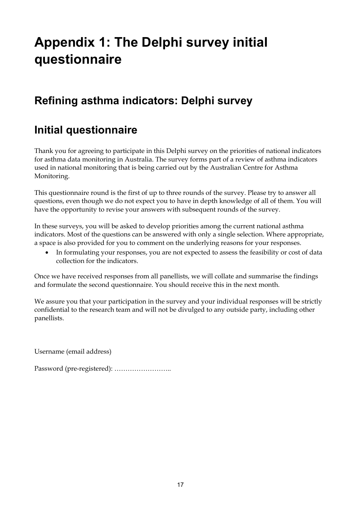# **Appendix 1: The Delphi survey initial questionnaire**

## **Refining asthma indicators: Delphi survey**

### **Initial questionnaire**

Thank you for agreeing to participate in this Delphi survey on the priorities of national indicators for asthma data monitoring in Australia. The survey forms part of a review of asthma indicators used in national monitoring that is being carried out by the Australian Centre for Asthma Monitoring.

This questionnaire round is the first of up to three rounds of the survey. Please try to answer all questions, even though we do not expect you to have in depth knowledge of all of them. You will have the opportunity to revise your answers with subsequent rounds of the survey.

In these surveys, you will be asked to develop priorities among the current national asthma indicators. Most of the questions can be answered with only a single selection. Where appropriate, a space is also provided for you to comment on the underlying reasons for your responses.

• In formulating your responses, you are not expected to assess the feasibility or cost of data collection for the indicators.

Once we have received responses from all panellists, we will collate and summarise the findings and formulate the second questionnaire. You should receive this in the next month.

We assure you that your participation in the survey and your individual responses will be strictly confidential to the research team and will not be divulged to any outside party, including other panellists.

Username (email address)

Password (pre-registered): ……………………..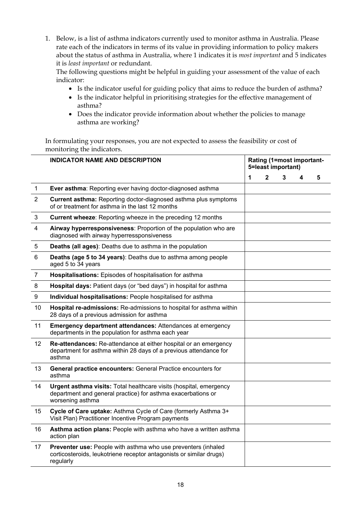1. Below, is a list of asthma indicators currently used to monitor asthma in Australia. Please rate each of the indicators in terms of its value in providing information to policy makers about the status of asthma in Australia, where 1 indicates it is *most important* and 5 indicates it is *least important* or redundant.

The following questions might be helpful in guiding your assessment of the value of each indicator:

- Is the indicator useful for guiding policy that aims to reduce the burden of asthma?
- Is the indicator helpful in prioritising strategies for the effective management of asthma?
- Does the indicator provide information about whether the policies to manage asthma are working?

In formulating your responses, you are not expected to assess the feasibility or cost of monitoring the indicators.

|                | <b>INDICATOR NAME AND DESCRIPTION</b>                                                                                                                  | Rating (1=most important-<br>5=least important) |              |   |   |   |
|----------------|--------------------------------------------------------------------------------------------------------------------------------------------------------|-------------------------------------------------|--------------|---|---|---|
|                |                                                                                                                                                        | 1                                               | $\mathbf{2}$ | 3 | 4 | 5 |
| $\mathbf{1}$   | Ever asthma: Reporting ever having doctor-diagnosed asthma                                                                                             |                                                 |              |   |   |   |
| 2              | Current asthma: Reporting doctor-diagnosed asthma plus symptoms<br>of or treatment for asthma in the last 12 months                                    |                                                 |              |   |   |   |
| 3              | <b>Current wheeze:</b> Reporting wheeze in the preceding 12 months                                                                                     |                                                 |              |   |   |   |
| 4              | Airway hyperresponsiveness: Proportion of the population who are<br>diagnosed with airway hyperressponsiveness                                         |                                                 |              |   |   |   |
| 5              | Deaths (all ages): Deaths due to asthma in the population                                                                                              |                                                 |              |   |   |   |
| 6              | Deaths (age 5 to 34 years): Deaths due to asthma among people<br>aged 5 to 34 years                                                                    |                                                 |              |   |   |   |
| $\overline{7}$ | Hospitalisations: Episodes of hospitalisation for asthma                                                                                               |                                                 |              |   |   |   |
| 8              | Hospital days: Patient days (or "bed days") in hospital for asthma                                                                                     |                                                 |              |   |   |   |
| 9              | Individual hospitalisations: People hospitalised for asthma                                                                                            |                                                 |              |   |   |   |
| 10             | Hospital re-admissions: Re-admissions to hospital for asthma within<br>28 days of a previous admission for asthma                                      |                                                 |              |   |   |   |
| 11             | <b>Emergency department attendances: Attendances at emergency</b><br>departments in the population for asthma each year                                |                                                 |              |   |   |   |
| 12             | Re-attendances: Re-attendance at either hospital or an emergency<br>department for asthma within 28 days of a previous attendance for<br>asthma        |                                                 |              |   |   |   |
| 13             | General practice encounters: General Practice encounters for<br>asthma                                                                                 |                                                 |              |   |   |   |
| 14             | Urgent asthma visits: Total healthcare visits (hospital, emergency<br>department and general practice) for asthma exacerbations or<br>worsening asthma |                                                 |              |   |   |   |
| 15             | Cycle of Care uptake: Asthma Cycle of Care (formerly Asthma 3+<br>Visit Plan) Practitioner Incentive Program payments                                  |                                                 |              |   |   |   |
| 16             | Asthma action plans: People with asthma who have a written asthma<br>action plan                                                                       |                                                 |              |   |   |   |
| 17             | Preventer use: People with asthma who use preventers (inhaled<br>corticosteroids, leukotriene receptor antagonists or similar drugs)<br>regularly      |                                                 |              |   |   |   |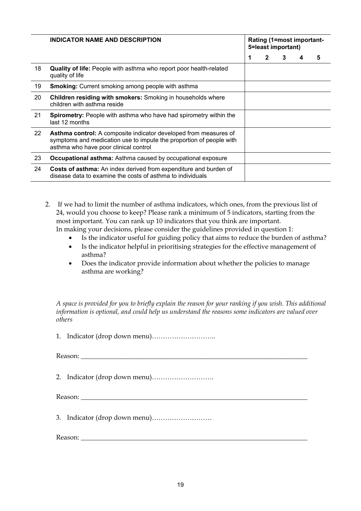|    | INDICATOR NAME AND DESCRIPTION                                                                                                                                                          | Rating (1=most important-<br>5=least important) |              |   |  |   |
|----|-----------------------------------------------------------------------------------------------------------------------------------------------------------------------------------------|-------------------------------------------------|--------------|---|--|---|
|    |                                                                                                                                                                                         | 1                                               | $\mathbf{2}$ | 3 |  | 5 |
| 18 | <b>Quality of life:</b> People with asthma who report poor health-related<br>quality of life                                                                                            |                                                 |              |   |  |   |
| 19 | <b>Smoking:</b> Current smoking among people with asthma                                                                                                                                |                                                 |              |   |  |   |
| 20 | <b>Children residing with smokers:</b> Smoking in households where<br>children with asthma reside                                                                                       |                                                 |              |   |  |   |
| 21 | <b>Spirometry:</b> People with asthma who have had spirometry within the<br>last 12 months                                                                                              |                                                 |              |   |  |   |
| 22 | <b>Asthma control:</b> A composite indicator developed from measures of<br>symptoms and medication use to impute the proportion of people with<br>asthma who have poor clinical control |                                                 |              |   |  |   |
| 23 | <b>Occupational asthma:</b> Asthma caused by occupational exposure                                                                                                                      |                                                 |              |   |  |   |
| 24 | Costs of asthma: An index derived from expenditure and burden of<br>disease data to examine the costs of asthma to individuals                                                          |                                                 |              |   |  |   |

2. If we had to limit the number of asthma indicators, which ones, from the previous list of 24, would you choose to keep? Please rank a minimum of 5 indicators, starting from the most important. You can rank up 10 indicators that you think are important. In making your decisions, please consider the guidelines provided in question 1:

- Is the indicator useful for guiding policy that aims to reduce the burden of asthma?
- Is the indicator helpful in prioritising strategies for the effective management of asthma?
- Does the indicator provide information about whether the policies to manage asthma are working?

*A space is provided for you to briefly explain the reason for your ranking if you wish. This additional information is optional, and could help us understand the reasons some indicators are valued over others* 

1. Indicator (drop down menu)………………………..

Reason:

2. Indicator (drop down menu)……………………….

Reason:

3. Indicator (drop down menu)………………………

Reason: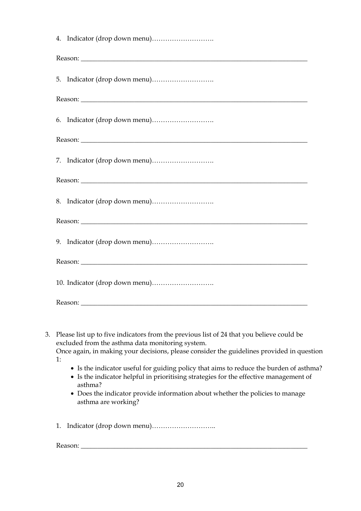| Reason:                                                                                                                                                                                                                              |
|--------------------------------------------------------------------------------------------------------------------------------------------------------------------------------------------------------------------------------------|
|                                                                                                                                                                                                                                      |
|                                                                                                                                                                                                                                      |
|                                                                                                                                                                                                                                      |
| Reason:                                                                                                                                                                                                                              |
|                                                                                                                                                                                                                                      |
|                                                                                                                                                                                                                                      |
|                                                                                                                                                                                                                                      |
| Reason: <u>New York and the second second second second second second second second second second second second second second second second second second second second second second second second second second second second </u> |
|                                                                                                                                                                                                                                      |
| Reason:                                                                                                                                                                                                                              |
|                                                                                                                                                                                                                                      |
|                                                                                                                                                                                                                                      |
|                                                                                                                                                                                                                                      |
| 3. Please list up to five indicators from the previous list of 24 that you believe could be                                                                                                                                          |

excluded from the asthma data monitoring system.

Once again, in making your decisions, please consider the guidelines provided in question 1:

- Is the indicator useful for guiding policy that aims to reduce the burden of asthma?
- Is the indicator helpful in prioritising strategies for the effective management of asthma?
- Does the indicator provide information about whether the policies to manage asthma are working?
- 1. Indicator (drop down menu)………………………..

Reason: \_\_\_\_\_\_\_\_\_\_\_\_\_\_\_\_\_\_\_\_\_\_\_\_\_\_\_\_\_\_\_\_\_\_\_\_\_\_\_\_\_\_\_\_\_\_\_\_\_\_\_\_\_\_\_\_\_\_\_\_\_\_\_\_\_\_\_\_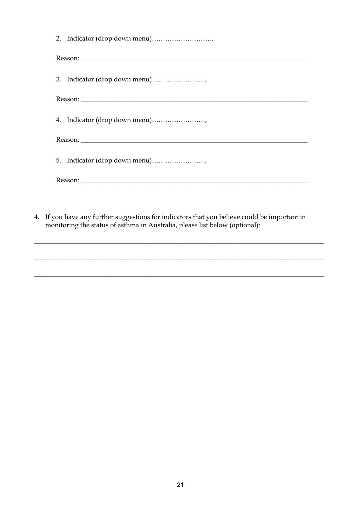| 5. Indicator (drop down menu) |
|-------------------------------|
|                               |
|                               |
|                               |

4. If you have any further suggestions for indicators that you believe could be important in monitoring the status of asthma in Australia, please list below (optional):

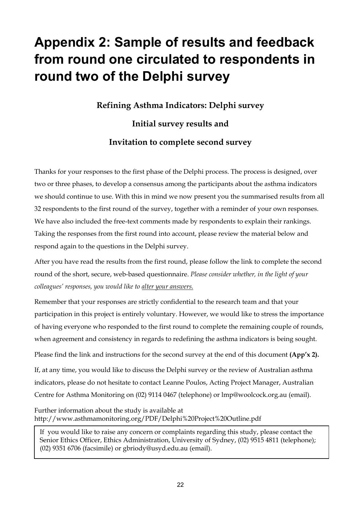# **Appendix 2: Sample of results and feedback from round one circulated to respondents in round two of the Delphi survey**

**Refining Asthma Indicators: Delphi survey**

**Initial survey results and Invitation to complete second survey** 

Thanks for your responses to the first phase of the Delphi process. The process is designed, over two or three phases, to develop a consensus among the participants about the asthma indicators we should continue to use. With this in mind we now present you the summarised results from all 32 respondents to the first round of the survey, together with a reminder of your own responses. We have also included the free-text comments made by respondents to explain their rankings. Taking the responses from the first round into account, please review the material below and respond again to the questions in the Delphi survey.

After you have read the results from the first round, please follow the link to complete the second round of the short, secure, web-based questionnaire. *Please consider whether, in the light of your colleagues' responses, you would like to alter your answers.*

Remember that your responses are strictly confidential to the research team and that your participation in this project is entirely voluntary. However, we would like to stress the importance of having everyone who responded to the first round to complete the remaining couple of rounds, when agreement and consistency in regards to redefining the asthma indicators is being sought.

Please find the link and instructions for the second survey at the end of this document **(App'x 2).** 

If, at any time, you would like to discuss the Delphi survey or the review of Australian asthma indicators, please do not hesitate to contact Leanne Poulos, Acting Project Manager, Australian Centre for Asthma Monitoring on (02) 9114 0467 (telephone) or lmp@woolcock.org.au (email).

Further information about the study is available at http://www.asthmamonitoring.org/PDF/Delphi%20Project%20Outline.pdf

If you would like to raise any concern or complaints regarding this study, please contact the Senior Ethics Officer, Ethics Administration, University of Sydney, (02) 9515 4811 (telephone); (02) 9351 6706 (facsimile) or gbriody@usyd.edu.au (email).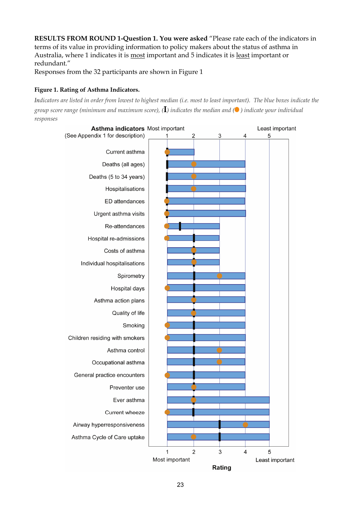**RESULTS FROM ROUND 1-Question 1. You were asked** "Please rate each of the indicators in terms of its value in providing information to policy makers about the status of asthma in Australia, where 1 indicates it is most important and 5 indicates it is least important or redundant."

Responses from the 32 participants are shown in Figure 1

#### **Figure 1. Rating of Asthma Indicators.**

*Indicators are listed in order from lowest to highest median (i.e. most to least important). The blue boxes indicate the group score range (minimum and maximum score), (***I***) indicates the median and ( ) indicate your individual responses* 

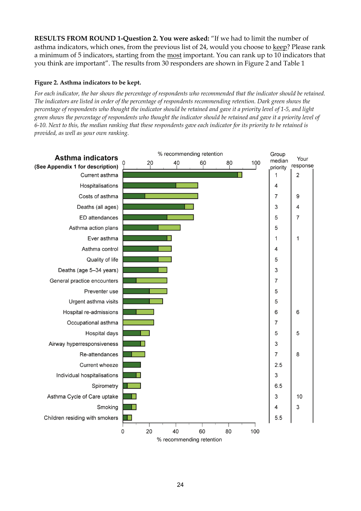**RESULTS FROM ROUND 1-Question 2. You were asked:** "If we had to limit the number of asthma indicators, which ones, from the previous list of 24, would you choose to keep? Please rank a minimum of 5 indicators, starting from the most important. You can rank up to 10 indicators that you think are important". The results from 30 responders are shown in Figure 2 and Table 1

#### **Figure 2. Asthma indicators to be kept.**

*For each indicator, the bar shows the percentage of respondents who recommended that the indicator should be retained. The indicators are listed in order of the percentage of respondents recommending retention. Dark green shows the percentage of respondents who thought the indicator should be retained and gave it a priority level of 1-5, and light green shows the percentage of respondents who thought the indicator should be retained and gave it a priority level of 6-10. Next to this, the median ranking that these respondents gave each indicator for its priority to be retained is provided, as well as your own ranking.* 

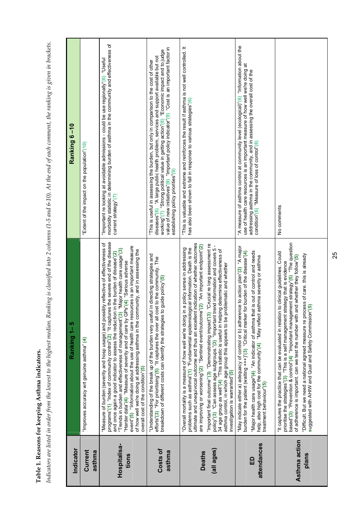Table 1. Reasons for keeping Asthma indicators. **Table 1. Reasons for keeping Asthma indicators.** 

Indicators are listed in order from the lowest to the highest median. Ranking is classified into 2 columns (1-5 and 6-10). At the end of each comment, the ranking is given in brackets. *Indicators are listed in order from the lowest to the highest median. Ranking is classified into 2 columns (1-5 and 6-10). At the end of each comment, the ranking is given in brackets.* 

| Ranking 6 –10 | "Extent of the impact on the population"(10) | morbidity statistic in determining burden of asthma in the community and effectiveness of<br>"Important re looking at avoidable admissions - could be use regionally"(6) "Useful<br>current strategy"(7)                                                                                                                                                                                                                                                                                                                                                                                                                                                                      | value of new initiatives"(9) "Important policy indicator"(9) "Cost is an important factor in<br>working"(7) "Strong political value in getting action"(8) "Economic impact and to judge<br>diseases"(6) "A large public health problem, services and support available but not<br>"This is useful in assessing the burden, but only in comparison to the cost of other<br>establishing policy priorities"(9) | "This is valuable and extreme and reinforces the result if asthma is not well controlled. It<br>has also been shown to fall in response to various strategies"(6)                                                                                                                                                                                                                                                                                                                                                                                                                                                                                                                                                                                                             | "A measure of asthma control at community level (ecological)"(6) "Information about the<br>use of health care resources is an important measure of how well we're doing at<br>addressing asthma in the community, and in assessing the overall cost of the<br>condition"(6) "Measure of loss of control"(8)                                                                                    | No comments                                                                                                                                                                                                                                                                                                                                                                                                                                                                                                         |
|---------------|----------------------------------------------|-------------------------------------------------------------------------------------------------------------------------------------------------------------------------------------------------------------------------------------------------------------------------------------------------------------------------------------------------------------------------------------------------------------------------------------------------------------------------------------------------------------------------------------------------------------------------------------------------------------------------------------------------------------------------------|--------------------------------------------------------------------------------------------------------------------------------------------------------------------------------------------------------------------------------------------------------------------------------------------------------------------------------------------------------------------------------------------------------------|-------------------------------------------------------------------------------------------------------------------------------------------------------------------------------------------------------------------------------------------------------------------------------------------------------------------------------------------------------------------------------------------------------------------------------------------------------------------------------------------------------------------------------------------------------------------------------------------------------------------------------------------------------------------------------------------------------------------------------------------------------------------------------|------------------------------------------------------------------------------------------------------------------------------------------------------------------------------------------------------------------------------------------------------------------------------------------------------------------------------------------------------------------------------------------------|---------------------------------------------------------------------------------------------------------------------------------------------------------------------------------------------------------------------------------------------------------------------------------------------------------------------------------------------------------------------------------------------------------------------------------------------------------------------------------------------------------------------|
| Ranking 1-5   | "Improves accuracy wrt genuine asthma" (4)   | "Measure of burden (severity and hosp usage) and possibly reflective of effectiveness of<br>programs"(1) "Index of community control"(2) "It captures the severe end of the disease<br>event"(5) "Information about the use of health care resources is an important measure<br>"Major health care usage"(3)<br>of how well we're doing at addressing asthma in the community, and in assessing the<br>in the burden of disease"(2)<br>"Harder data"(4) "Measure of severity and of care by GPs"(4) "Serious adverse<br>and once again a good indicator to assess the reduction<br>"Trends in burden and effectiveness of management"(3)<br>overall cost of the condition"(5) | "Understanding of the break up of the burden very useful in directing strategies and<br>efforts"(3) "For prioritising"(5) "It captures the over all cost to the community. The<br>guide policy"(5)<br>breakdown of different costs can identify the strategies to                                                                                                                                            | indication of whether outcomes<br>"Crucial re long assessment re<br>are improving or worsening"(2) "Sentinel event/outcome"(2) "An important endpoint"(2)<br>policy"(3) "Can assess age subgroups."(3) "Important trend information and covers 5-<br>a policy sense in addressing<br>jical information. Death is the<br>34 age group as well"(4) "This statistic is useful in helping determine effectiveness of<br>asthma control, in which age group this appears to be problematic and whether<br>investigation is warranted"(5)<br>"Overall mortality is a measure of how well we're doing in<br>problems such as asthma"(1) "Fundamental epidemiolog<br>ultimate and unequivocal outcome and thus an excellent<br>"Important final outcome"(3) "Demonstrating impact"(3) | "May indicate either a) adequacy of control or b) adherence to action plan"(3) "A major<br>"Major health care usage"(4) "An indicator of asthma that is out of control and needs<br>burden for the patient (waiting $+++$ )"(3) "Critical marker for burden of the disease"(4)<br>help, also high cost for the community"(4) "May reflect asthma severity or asthma<br>treatment behaviour'(5) | based"(3) "Prevention & control"(4) "Important management strategy"(5) "The question<br>to clinical guidelines. Could<br>"Difficult. But we need a national agreed measure re process of care. this is already<br>of adherence is important. can we test the number with and whether they follow"(5)<br>prioritise the strategies"(3) "This is a self management strategy that is evidence<br>suggested with AHIW and Qual and Safety Commission"(5)<br>"It captures the practice that can be evaluated in relation |
| Indicator     | Current<br>asthma                            | Hospitalisa-<br>tions                                                                                                                                                                                                                                                                                                                                                                                                                                                                                                                                                                                                                                                         | Costs of<br>asthma                                                                                                                                                                                                                                                                                                                                                                                           | (all ages)<br><b>Deaths</b>                                                                                                                                                                                                                                                                                                                                                                                                                                                                                                                                                                                                                                                                                                                                                   | attendances<br>品                                                                                                                                                                                                                                                                                                                                                                               | Asthma action<br>plans                                                                                                                                                                                                                                                                                                                                                                                                                                                                                              |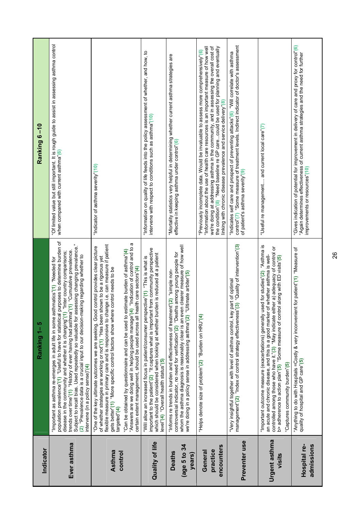| Indicator                               | Ranking 1-5                                                                                                                                                                                                                                                                                                                                                                                                                                                                                                                                                                       | Ranking 6-10                                                                                                                                                                                                                                                                                                                                                                                                                          |
|-----------------------------------------|-----------------------------------------------------------------------------------------------------------------------------------------------------------------------------------------------------------------------------------------------------------------------------------------------------------------------------------------------------------------------------------------------------------------------------------------------------------------------------------------------------------------------------------------------------------------------------------|---------------------------------------------------------------------------------------------------------------------------------------------------------------------------------------------------------------------------------------------------------------------------------------------------------------------------------------------------------------------------------------------------------------------------------------|
| Ever asthma                             | population prevalence"(1) "Useful to have for statistical purposes to determine burden of<br>Subject to recall bias. Used repeatedly so valuable for assessing changing prevalence."<br>trends over time"(1) "History of ever having had asthma"(1) "Cumulative prevalence.<br>"Inter country comparisons;<br>"Prevalence data is a crucial input to our decision-making regarding whether to<br>"Important as asthma re-emerges in adult life in some asthmatics"(1) "Needed for<br>disease in the community and whether it is changing"(1)<br>intervene (in a policy sense)"(4) | "Of limited value but still important. It is rough guide to assist in assessing asthma control<br>when compared with current asthma"(6)                                                                                                                                                                                                                                                                                               |
|                                         | flexible measure in primary care and is responsive to change i.e. can measure if patient<br>control provides clear picture<br>of whether strategies are working or not"(1) "Has been shown to be a rigorous yet<br>control needs to be<br>"One of the key ultimate outcomes we are seeking. Good<br>gets better"(1) "More specific control factors show where                                                                                                                                                                                                                     | "Indicator of asthma severity" (10)                                                                                                                                                                                                                                                                                                                                                                                                   |
| Asthma<br>control                       | a<br>"Answers are we doing well in helping people manage"(4) "Indication of control and to<br>"Can be obtained by questionnaire and can be used to estimate burden of asthma"(4)<br>certain extent management, should be used across all health care sectors"(4)<br>targeted <sup>®</sup> (4)                                                                                                                                                                                                                                                                                     |                                                                                                                                                                                                                                                                                                                                                                                                                                       |
| Quality of life                         | important to the patient"(2) "It captures what is important from community perspective<br>which should be considered when looking at whether burden is reduced at a patient<br>"Will allow an increased focus in patient/consumer perspective"(1) "This is what is<br>evel"(4) "Overall health status"(5)                                                                                                                                                                                                                                                                         | "Information on quality of life feeds into the policy assessment of whether, and how, to<br>intervene with respect to conditions such as asthma"(10)                                                                                                                                                                                                                                                                                  |
| (age 5 to 34<br><b>Deaths</b><br>years) | in clearer measure of how well<br>controversial indicator, no need for verification"(2) "Deaths among young people for<br>"Informs re trends in burden and effectiveness of treatment"(2) "simple non-<br>whom the asthma diagnosis is reasonably clear is an even clearer measure<br>we're doing in a policy sense in addressing asthma''(2) "Ultimate arbiter"(5)                                                                                                                                                                                                               | "Mortality statistics very helpful in determining whether current asthma strategies are<br>effective in keeping asthma under control"(6)                                                                                                                                                                                                                                                                                              |
| encounters<br>practice<br>General       | "Helps denote size of problem"(2) "Burden on HRU"(4)                                                                                                                                                                                                                                                                                                                                                                                                                                                                                                                              | "Information about the use of health care resources is an important measure of how well<br>we're doing at addressing asthma in the community, and in assessing the overall cost of<br>the condition"(8) "Need baseline re GP carecould be used for planning and eventually<br>"Previously incomplete data. Would be invaluable to assess more comprehensively"(6)<br>linking with chronic disease prevalence and service delivery"(8) |
| Preventer use                           | "Very insightful together with level of asthma control, key part of optimal<br>management"(2)  "Index of control strategy effectiveness"(3)  "Quality of intervention"(3)                                                                                                                                                                                                                                                                                                                                                                                                         | control"(7) "Some measure of treatment levels. Indirect indicator of doctor's assessment<br>"Indicates self care and prospect of preventing attacks"(6) "Will correlate with asthma<br>of patient's asthma severity"(9)                                                                                                                                                                                                               |
| Urgent asthma<br>visits                 | "Important outcome measure (exacerbations) generally used for studies"(2) "Asthma is<br>controlled among those who have it."(3) "May indicate either a) adequacy of control or<br>an acute and chronic disease, and this is a good marker of whether asthma is well-<br>ol along with ED visits"(5)<br>b> adherence to action plan"(5) "Some measure of contr<br>'Captures community burden"(5)                                                                                                                                                                                   | "Useful re management and current local care"(7)                                                                                                                                                                                                                                                                                                                                                                                      |
| admissions<br>Hospital re-              | "Anything to do with Hospitals =Costly & very inconvenient for patient"(1) "Measure of<br>quality of hospital and GP care"(5)                                                                                                                                                                                                                                                                                                                                                                                                                                                     | "Gives indication of potential for improvement in delivery of care and proxy for control"(6)<br>"Again determines effectiveness of current asthma strategies and the need for further<br>improvements or resources"(10)                                                                                                                                                                                                               |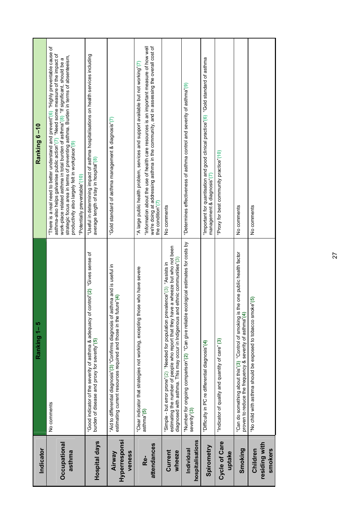| Indicator                            | Ranking 1-5                                                                                                                                                                                                                                                        | Ranking 6-10                                                                                                                                                                                                                                                                                                                                                                                                                                   |
|--------------------------------------|--------------------------------------------------------------------------------------------------------------------------------------------------------------------------------------------------------------------------------------------------------------------|------------------------------------------------------------------------------------------------------------------------------------------------------------------------------------------------------------------------------------------------------------------------------------------------------------------------------------------------------------------------------------------------------------------------------------------------|
| Occupational<br>asthma               | No comments                                                                                                                                                                                                                                                        | "There is a real need to better understand and prevent"(6) "Highly preventable cause of<br>asthma-also helps galvanise public action"(7) "Need some measure of the impact of<br>strategic focus area in terms of preventing asthma. Burden in terms of absenteeism,<br>work-place related asthma in total burden of asthma"(8) "If significant, should be a<br>productivity also largely felt in workplace"(9)<br>Potentially preventable"(10) |
| <b>Hospital days</b>                 | control'(2) "Gives sense of<br>"Good indicator of the severity of asthma & adequacy of<br>burden of disease and proxy for severity"(5)                                                                                                                             | "Useful in determining impact of asthma hospitalisations on health services including<br>average length of stay in hospital"(8)                                                                                                                                                                                                                                                                                                                |
| Hyperresponsi<br>veness<br>Airway    | "Aid to differential diagnosis"(3) "Confirms diagnosis of asthma and is useful in<br>estimating current resources required and those in the future"(4)                                                                                                             | "Gold standard of asthma management & diagnosis"(7)                                                                                                                                                                                                                                                                                                                                                                                            |
| attendances<br>Re-                   | "Clear indicator that strategies not working, excepting those who have severe<br>asthma"(5)                                                                                                                                                                        | "Information about the use of health care resources is an important measure of how well<br>we're doing at addressing asthma in the community, and in assessing the overall cost of<br>"A large public health problem, services and support available but not working" (7)<br>the condition"(7)                                                                                                                                                 |
| Current<br>wheeze                    | re a wheeze but who not been<br>d ethnic communities"(3)<br>"Simple - but error prone"(2) "Needed for population prevalence"(3) "Assists in<br>estimating the number of people who report that they have<br>diagnosed with asthma. This may occur in Indigenous an | No comments                                                                                                                                                                                                                                                                                                                                                                                                                                    |
| hospitalisations<br>Individual       | "Number for ongoing comparison"(2) "Can give reliable ecological estimates for costs by<br>severity <sup>'</sup> (3)                                                                                                                                               | "Determines effectiveness of asthma control and severity of asthma"(9)                                                                                                                                                                                                                                                                                                                                                                         |
| Spirometry                           | "Difficulty in PC re differential diagnosis"(4)                                                                                                                                                                                                                    | "Important for quantisation and good clinical practice"(6) "Gold standard of asthma<br>management & diagnosis"(7)                                                                                                                                                                                                                                                                                                                              |
| <b>Cycle of Care</b><br>uptake       | "Indicator of quality and quantity of care" (3)                                                                                                                                                                                                                    | "Proxy for best community practice"(10)                                                                                                                                                                                                                                                                                                                                                                                                        |
| Smoking                              | "Can do something about this"(3) "Control of smoking is the one public health factor<br>proven to reduce the frequency & severity of asthma"(4)                                                                                                                    | No comments                                                                                                                                                                                                                                                                                                                                                                                                                                    |
| residing with<br>Children<br>smokers | "No child with asthma should be exposed to tobacco smoke"(5)                                                                                                                                                                                                       | No comments                                                                                                                                                                                                                                                                                                                                                                                                                                    |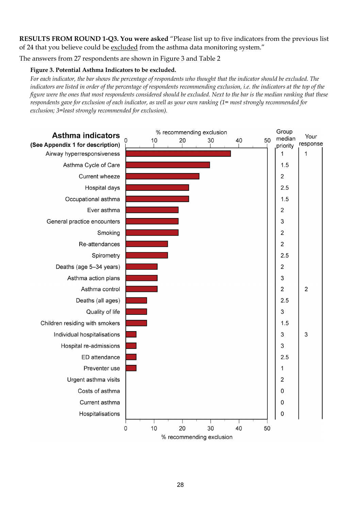**RESULTS FROM ROUND 1-Q3. You were asked** "Please list up to five indicators from the previous list of 24 that you believe could be excluded from the asthma data monitoring system."

The answers from 27 respondents are shown in Figure 3 and Table 2

#### **Figure 3. Potential Asthma Indicators to be excluded.**

*For each indicator, the bar shows the percentage of respondents who thought that the indicator should be excluded. The indicators are listed in order of the percentage of respondents recommending exclusion, i.e. the indicators at the top of the figure were the ones that most respondents considered should be excluded. Next to the bar is the median ranking that these respondents gave for exclusion of each indicator, as well as your own ranking (1= most strongly recommended for exclusion; 3=least strongly recommended for exclusion).* 

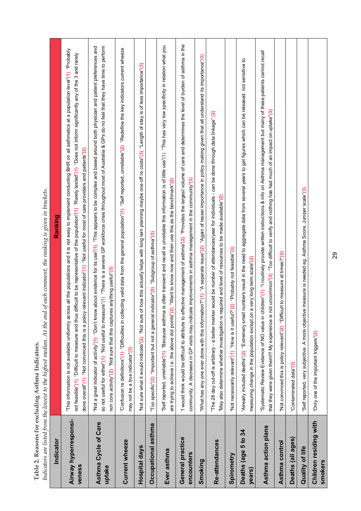| l<br>ׅ֧֦֧ׅ֦֧֚֚֚֚֚֚֚֚֚֚֚֚֚֚֚֚֚֚֚֓֡֡֜֓֡֝֓֡֡֜֓֡֟֓֡                                                                          |
|--------------------------------------------------------------------------------------------------------------------------|
| I                                                                                                                        |
| ١<br>֧֧֧֚֚֚֚֚֚֚֚֚֚֚֚֚֚֚֚֚֚֚֚֚֚֚֚֡֡֡֡֝֬<br>i                                                                              |
| ì<br><b>CONCORDINATION</b><br>ı<br>l                                                                                     |
| I<br>;<br>in a bhliain an chuid an chuid an chuid an chuid an chuid an chuid an chuid an chuid an chuid an chuid an chui |

Table 2. Reasons for excluding Asthma Indicators.<br>Indicators are listed from the lowest to the highest median. At the end of each comment, the ranking is given in brackets. *Indicators are listed from the lowest to the highest median. At the end of each comment, the ranking is given in brackets.* 

| Indicator                         | Ranking                                                                                                                                                                                                                                                                                                                                                                                                                                                                                           |
|-----------------------------------|---------------------------------------------------------------------------------------------------------------------------------------------------------------------------------------------------------------------------------------------------------------------------------------------------------------------------------------------------------------------------------------------------------------------------------------------------------------------------------------------------|
| Airway hyperresponsi-<br>veness   | "This information is not available uniformly across all the populations and it is not easy to implement conducting BHR on all asthmatics at a population level"(1) "Probably<br>not feasible"(1) "Difficult to measure and thus difficult to be representative of the population"(1) "Rarely tested"(1) "Does not inform significantly any of the 3 and rarely<br>done overall"(1) "Not convinced this is a policy relevant indicator"(1) "Not useful for most of care providers and patients"(2) |
| Asthma Cycle of Care<br>uptake    | "Not a great indicator of activity"(1) "Don't know about evidence for its use"(1) "This appears to be complex and based around both physician and patient preferences and<br>so not useful for either"(1) "Not useful to measure"(1) "There is a severe GP workforce crisis throughout most of Australia & GPs do no feel that they have time to perform<br>non core activity"(2) "Not sure that this captures anything useful"(3)                                                                |
| Current wheeze                    | "Confusion re definitions"(1) "Difficulties in collecting valid data from the general population"(1) "Self reported, unreliable"(2) "Redefine the key indicators current wheeze<br>may not be a true indicator"(3)                                                                                                                                                                                                                                                                                |
| <b>Hospital days</b>              | 'Not sure what it would indicate"(2) "Not sure of how this actually helps with long tern planning maybe one off re costs"(3) "Length of stay is of less importance"(3)                                                                                                                                                                                                                                                                                                                            |
| Occupational asthma               | indicator"(3) "Subgroup of asthma"(3)<br>"Too specific"(2) "Important but not a general                                                                                                                                                                                                                                                                                                                                                                                                           |
| Ever asthma                       | "Self reported, unreliable"(1) "Because asthma is often transient and recall is unreliable this information is of little use"(1) "This has very low specificity in relation what you<br>are trying to achieve i.e. the above dot points" $(2)$ "Want to know now and then use this as the benchmark" $(2)$                                                                                                                                                                                        |
| General practice<br>encounters    | "I would think would be difficult to attribute to effective management of asthma'(2) "Provides the largest volume of care and determines the level of burden of asthma in the<br>community. A decrease in GP visits may indicate improvements in asthma management in the community"(3)                                                                                                                                                                                                           |
| Smoking                           | "What has any one ever done with this information?"(1) "A separate issue"(2) "Again of lesser importance in policy making given that all understand its importance"(3)                                                                                                                                                                                                                                                                                                                            |
| Re-attendances                    | The 28 day cut-off is arbitrary - a better marker would be number of attendances/year for individuals - can be done through data linkage" (2)<br>"May also determine whether investigation is required and level of resources to be made available"(2)                                                                                                                                                                                                                                            |
| Spirometry                        | "Not necessarily relevant"(1) "How is it useful?"(2) "Probably not feasible"(3)                                                                                                                                                                                                                                                                                                                                                                                                                   |
| Deaths (age 5 to 34<br>years)     | numbers result in the need to aggregate data from several years to get figures which can be released. not sensitive to<br>a very long term scale"(2)<br>"Already included deaths" (2) "Extremely small<br>measuring change in the population except on                                                                                                                                                                                                                                            |
| Asthma action plans               | 'Systematic Review Evidence of NO value in children'(1) "I routinely provide written instructions & info on Asthma management but many of these patients cannot recall<br>that they were given them!!! My experience is not uncommon"(3) "Too difficult to verify and nothing has had much of an impact on uptake"(3)                                                                                                                                                                             |
| Asthma control                    | "Not convinced this is policy relevant"(2) "Difficult to measure at times?"(2)                                                                                                                                                                                                                                                                                                                                                                                                                    |
| Deaths (all ages)                 | 'Contaminated data"(3)                                                                                                                                                                                                                                                                                                                                                                                                                                                                            |
| Quality of life                   | Self reported, very subjective. A more objective measure is needed eg. Asthma Score, Juniper scale"(3)                                                                                                                                                                                                                                                                                                                                                                                            |
| Children residing with<br>smokers | "Only one of the important triggers"(2)                                                                                                                                                                                                                                                                                                                                                                                                                                                           |

29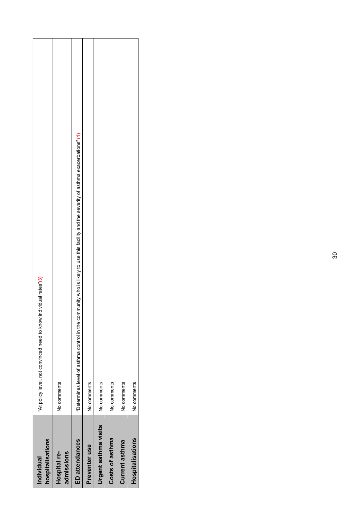| Individual                  | "At policy level, not convinced need to know individual rates"(3)                                                                     |
|-----------------------------|---------------------------------------------------------------------------------------------------------------------------------------|
| hospitalisations            |                                                                                                                                       |
| Hospital re-                | No comments                                                                                                                           |
| admissions                  |                                                                                                                                       |
| <b>ED</b> attendances       | "Determines level of asthma control in the community who is likely to use this facility and the severity of asthma exacerbations" (1) |
| Preventer use               | No comments                                                                                                                           |
| <b>Urgent asthma visits</b> | No comments                                                                                                                           |
| Costs of asthma             | No comments                                                                                                                           |
| Current asthma              | No comments                                                                                                                           |
| Hospitalisations            | No comments                                                                                                                           |
|                             |                                                                                                                                       |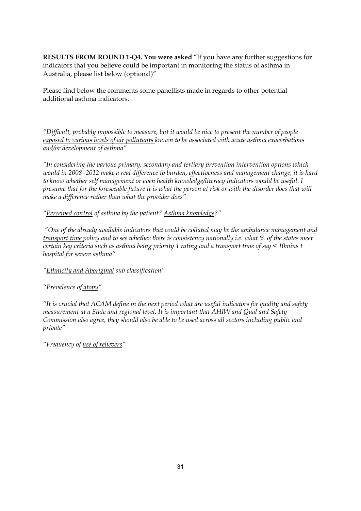**RESULTS FROM ROUND 1-Q4. You were asked** "If you have any further suggestions for indicators that you believe could be important in monitoring the status of asthma in Australia, please list below (optional)"

Please find below the comments some panellists made in regards to other potential additional asthma indicators.

*"Difficult, probably impossible to measure, but it would be nice to present the number of people exposed to various levels of air pollutants known to be associated with acute asthma exacerbations and/or development of asthma"* 

*"In considering the various primary, secondary and tertiary prevention intervention options which would in 2008 -2012 make a real difference to burden, effectiveness and management change, it is hard to know whether self management or even health knowledge/literacy indicators would be useful. I presume that for the foreseeable future it is what the person at risk or with the disorder does that will make a difference rather than what the provider does"* 

*"Perceived control of asthma by the patient? Asthma knowledge?"* 

 *"One of the already available indicators that could be collated may be the ambulance management and transport time policy and to see whether there is consistency nationally i.e. what % of the states meet certain key criteria such as asthma being priority 1 rating and a transport time of say < 10mins t hospital for severe asthma"* 

- *"Ethnicity and Aboriginal sub classification"*
- *"Prevalence of atopy"*

*"It is crucial that ACAM define in the next period what are useful indicators for quality and safety measurement at a State and regional level. It is important that AHIW and Qual and Safety Commission also agree, they should also be able to be used across all sectors including public and private"* 

*"Frequency of use of relievers"*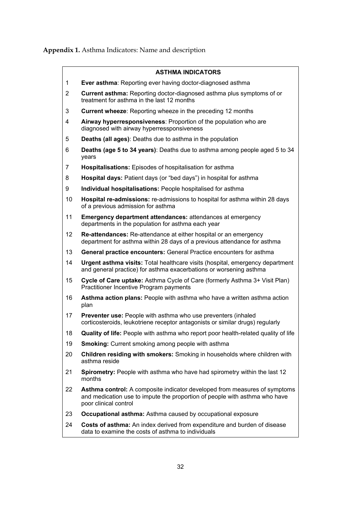**Appendix 1.** Asthma Indicators: Name and description

#### **ASTHMA INDICATORS**

- 1 **Ever asthma**: Reporting ever having doctor-diagnosed asthma
- 2 **Current asthma:** Reporting doctor-diagnosed asthma plus symptoms of or treatment for asthma in the last 12 months
- 3 **Current wheeze**: Reporting wheeze in the preceding 12 months
- 4 **Airway hyperresponsiveness**: Proportion of the population who are diagnosed with airway hyperressponsiveness
- 5 **Deaths (all ages)**: Deaths due to asthma in the population
- 6 **Deaths (age 5 to 34 years)**: Deaths due to asthma among people aged 5 to 34 years
- 7 **Hospitalisations:** Episodes of hospitalisation for asthma
- 8 **Hospital days:** Patient days (or "bed days") in hospital for asthma
- 9 **Individual hospitalisations:** People hospitalised for asthma
- 10 **Hospital re-admissions:** re-admissions to hospital for asthma within 28 days of a previous admission for asthma
- 11 **Emergency department attendances:** attendances at emergency departments in the population for asthma each year
- 12 **Re-attendances:** Re-attendance at either hospital or an emergency department for asthma within 28 days of a previous attendance for asthma
- 13 **General practice encounters:** General Practice encounters for asthma
- 14 **Urgent asthma visits:** Total healthcare visits (hospital, emergency department and general practice) for asthma exacerbations or worsening asthma
- 15 **Cycle of Care uptake:** Asthma Cycle of Care (formerly Asthma 3+ Visit Plan) Practitioner Incentive Program payments
- 16 **Asthma action plans:** People with asthma who have a written asthma action plan
- 17 **Preventer use:** People with asthma who use preventers (inhaled corticosteroids, leukotriene receptor antagonists or similar drugs) regularly
- 18 **Quality of life:** People with asthma who report poor health-related quality of life
- 19 **Smoking:** Current smoking among people with asthma
- 20 **Children residing with smokers:** Smoking in households where children with asthma reside
- 21 **Spirometry:** People with asthma who have had spirometry within the last 12 months
- 22 **Asthma control:** A composite indicator developed from measures of symptoms and medication use to impute the proportion of people with asthma who have poor clinical control
- 23 **Occupational asthma:** Asthma caused by occupational exposure
- 24 **Costs of asthma:** An index derived from expenditure and burden of disease data to examine the costs of asthma to individuals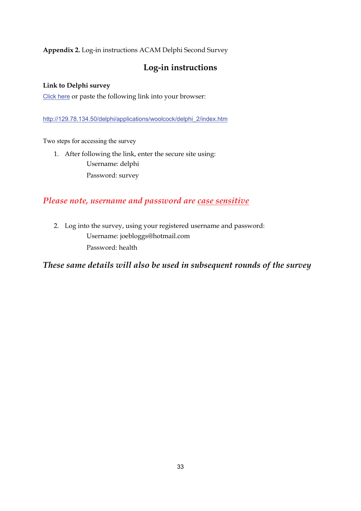**Appendix 2.** Log-in instructions ACAM Delphi Second Survey

### **Log-in instructions**

#### **Link to Delphi survey**

Click here or paste the following link into your browser:

http://129.78.134.50/delphi/applications/woolcock/delphi\_2/index.htm

Two steps for accessing the survey

1. After following the link, enter the secure site using: Username: delphi Password: survey

#### *Please note, username and password are case sensitive*

2. Log into the survey, using your registered username and password: Username: joebloggs@hotmail.com Password: health

*These same details will also be used in subsequent rounds of the survey*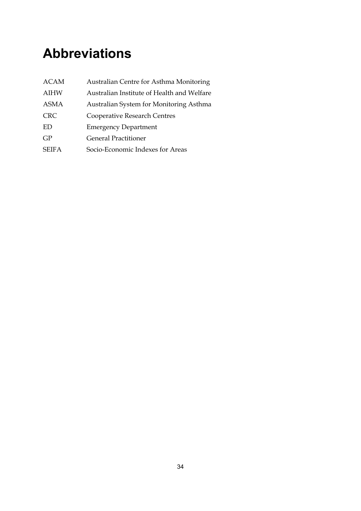# **Abbreviations**

| <b>ACAM</b>  | Australian Centre for Asthma Monitoring    |
|--------------|--------------------------------------------|
| <b>AIHW</b>  | Australian Institute of Health and Welfare |
| <b>ASMA</b>  | Australian System for Monitoring Asthma    |
| <b>CRC</b>   | Cooperative Research Centres               |
| ED           | <b>Emergency Department</b>                |
| GP           | <b>General Practitioner</b>                |
| <b>SEIFA</b> | Socio-Economic Indexes for Areas           |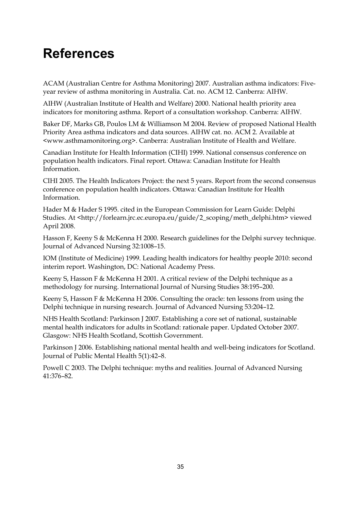# **References**

ACAM (Australian Centre for Asthma Monitoring) 2007. Australian asthma indicators: Fiveyear review of asthma monitoring in Australia. Cat. no. ACM 12. Canberra: AIHW.

AIHW (Australian Institute of Health and Welfare) 2000. National health priority area indicators for monitoring asthma. Report of a consultation workshop. Canberra: AIHW.

Baker DF, Marks GB, Poulos LM & Williamson M 2004. Review of proposed National Health Priority Area asthma indicators and data sources. AIHW cat. no. ACM 2. Available at <www.asthmamonitoring.org>. Canberra: Australian Institute of Health and Welfare.

Canadian Institute for Health Information (CIHI) 1999. National consensus conference on population health indicators. Final report. Ottawa: Canadian Institute for Health Information.

CIHI 2005. The Health Indicators Project: the next 5 years. Report from the second consensus conference on population health indicators. Ottawa: Canadian Institute for Health Information.

Hader M & Hader S 1995. cited in the European Commission for Learn Guide: Delphi Studies. At <http://forlearn.jrc.ec.europa.eu/guide/2\_scoping/meth\_delphi.htm> viewed April 2008.

Hasson F, Keeny S & McKenna H 2000. Research guidelines for the Delphi survey technique. Journal of Advanced Nursing 32:1008–15.

IOM (Institute of Medicine) 1999. Leading health indicators for healthy people 2010: second interim report. Washington, DC: National Academy Press.

Keeny S, Hasson F & McKenna H 2001. A critical review of the Delphi technique as a methodology for nursing. International Journal of Nursing Studies 38:195–200.

Keeny S, Hasson F & McKenna H 2006. Consulting the oracle: ten lessons from using the Delphi technique in nursing research. Journal of Advanced Nursing 53:204–12.

NHS Health Scotland: Parkinson J 2007. Establishing a core set of national, sustainable mental health indicators for adults in Scotland: rationale paper. Updated October 2007. Glasgow: NHS Health Scotland, Scottish Government.

Parkinson J 2006. Establishing national mental health and well-being indicators for Scotland. Journal of Public Mental Health 5(1):42–8.

Powell C 2003. The Delphi technique: myths and realities. Journal of Advanced Nursing 41:376–82.